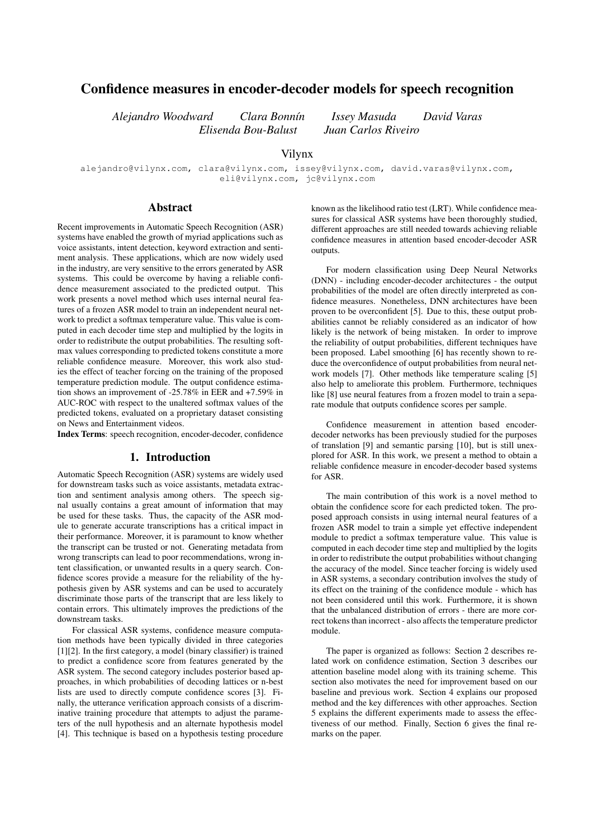# Confidence measures in encoder-decoder models for speech recognition

 $Elizabeth Bou-Balust$ 

*Alejandro Woodward Clara Bonn´ın Issey Masuda David Varas*

## Vilynx

alejandro@vilynx.com, clara@vilynx.com, issey@vilynx.com, david.varas@vilynx.com, eli@vilynx.com, jc@vilynx.com

## Abstract

Recent improvements in Automatic Speech Recognition (ASR) systems have enabled the growth of myriad applications such as voice assistants, intent detection, keyword extraction and sentiment analysis. These applications, which are now widely used in the industry, are very sensitive to the errors generated by ASR systems. This could be overcome by having a reliable confidence measurement associated to the predicted output. This work presents a novel method which uses internal neural features of a frozen ASR model to train an independent neural network to predict a softmax temperature value. This value is computed in each decoder time step and multiplied by the logits in order to redistribute the output probabilities. The resulting softmax values corresponding to predicted tokens constitute a more reliable confidence measure. Moreover, this work also studies the effect of teacher forcing on the training of the proposed temperature prediction module. The output confidence estimation shows an improvement of -25.78% in EER and +7.59% in AUC-ROC with respect to the unaltered softmax values of the predicted tokens, evaluated on a proprietary dataset consisting on News and Entertainment videos.

Index Terms: speech recognition, encoder-decoder, confidence

## 1. Introduction

Automatic Speech Recognition (ASR) systems are widely used for downstream tasks such as voice assistants, metadata extraction and sentiment analysis among others. The speech signal usually contains a great amount of information that may be used for these tasks. Thus, the capacity of the ASR module to generate accurate transcriptions has a critical impact in their performance. Moreover, it is paramount to know whether the transcript can be trusted or not. Generating metadata from wrong transcripts can lead to poor recommendations, wrong intent classification, or unwanted results in a query search. Confidence scores provide a measure for the reliability of the hypothesis given by ASR systems and can be used to accurately discriminate those parts of the transcript that are less likely to contain errors. This ultimately improves the predictions of the downstream tasks.

For classical ASR systems, confidence measure computation methods have been typically divided in three categories [1][2]. In the first category, a model (binary classifier) is trained to predict a confidence score from features generated by the ASR system. The second category includes posterior based approaches, in which probabilities of decoding lattices or n-best lists are used to directly compute confidence scores [3]. Finally, the utterance verification approach consists of a discriminative training procedure that attempts to adjust the parameters of the null hypothesis and an alternate hypothesis model [4]. This technique is based on a hypothesis testing procedure known as the likelihood ratio test (LRT). While confidence measures for classical ASR systems have been thoroughly studied, different approaches are still needed towards achieving reliable confidence measures in attention based encoder-decoder ASR outputs.

For modern classification using Deep Neural Networks (DNN) - including encoder-decoder architectures - the output probabilities of the model are often directly interpreted as confidence measures. Nonetheless, DNN architectures have been proven to be overconfident [5]. Due to this, these output probabilities cannot be reliably considered as an indicator of how likely is the network of being mistaken. In order to improve the reliability of output probabilities, different techniques have been proposed. Label smoothing [6] has recently shown to reduce the overconfidence of output probabilities from neural network models [7]. Other methods like temperature scaling [5] also help to ameliorate this problem. Furthermore, techniques like [8] use neural features from a frozen model to train a separate module that outputs confidence scores per sample.

Confidence measurement in attention based encoderdecoder networks has been previously studied for the purposes of translation [9] and semantic parsing [10], but is still unexplored for ASR. In this work, we present a method to obtain a reliable confidence measure in encoder-decoder based systems for ASR.

The main contribution of this work is a novel method to obtain the confidence score for each predicted token. The proposed approach consists in using internal neural features of a frozen ASR model to train a simple yet effective independent module to predict a softmax temperature value. This value is computed in each decoder time step and multiplied by the logits in order to redistribute the output probabilities without changing the accuracy of the model. Since teacher forcing is widely used in ASR systems, a secondary contribution involves the study of its effect on the training of the confidence module - which has not been considered until this work. Furthermore, it is shown that the unbalanced distribution of errors - there are more correct tokens than incorrect - also affects the temperature predictor module.

The paper is organized as follows: Section 2 describes related work on confidence estimation, Section 3 describes our attention baseline model along with its training scheme. This section also motivates the need for improvement based on our baseline and previous work. Section 4 explains our proposed method and the key differences with other approaches. Section 5 explains the different experiments made to assess the effectiveness of our method. Finally, Section 6 gives the final remarks on the paper.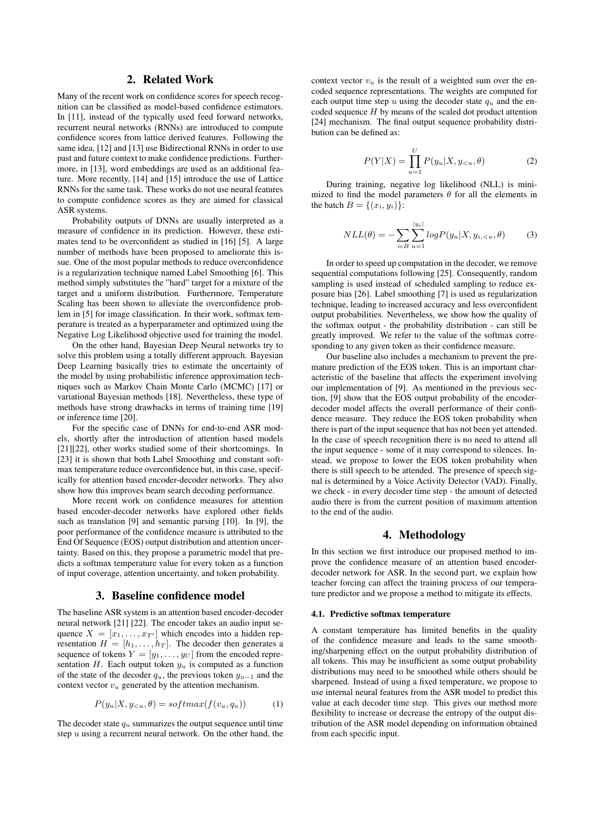## 2. Related Work

Many of the recent work on confidence scores for speech recognition can be classified as model-based confidence estimators. In [11], instead of the typically used feed forward networks, recurrent neural networks (RNNs) are introduced to compute confidence scores from lattice derived features. Following the same idea, [12] and [13] use Bidirectional RNNs in order to use past and future context to make confidence predictions. Furthermore, in [13], word embeddings are used as an additional feature. More recently, [14] and [15] introduce the use of Lattice RNNs for the same task. These works do not use neural features to compute confidence scores as they are aimed for classical ASR systems.

Probability outputs of DNNs are usually interpreted as a measure of confidence in its prediction. However, these estimates tend to be overconfident as studied in [16] [5]. A large number of methods have been proposed to ameliorate this issue. One of the most popular methods to reduce overconfidence is a regularization technique named Label Smoothing [6]. This method simply substitutes the "hard" target for a mixture of the target and a uniform distribution. Furthermore, Temperature Scaling has been shown to alleviate the overconfidence problem in [5] for image classification. In their work, softmax temperature is treated as a hyperparameter and optimized using the Negative Log Likelihood objective used for training the model.

On the other hand, Bayesian Deep Neural networks try to solve this problem using a totally different approach. Bayesian Deep Learning basically tries to estimate the uncertainty of the model by using probabilistic inference approximation techniques such as Markov Chain Monte Carlo (MCMC) [17] or variational Bayesian methods [18]. Nevertheless, these type of methods have strong drawbacks in terms of training time [19] or inference time [20].

For the specific case of DNNs for end-to-end ASR models, shortly after the introduction of attention based models [21][22], other works studied some of their shortcomings. In [23] it is shown that both Label Smoothing and constant softmax temperature reduce overconfidence but, in this case, specifically for attention based encoder-decoder networks. They also show how this improves beam search decoding performance.

More recent work on confidence measures for attention based encoder-decoder networks have explored other fields such as translation [9] and semantic parsing [10]. In [9], the poor performance of the confidence measure is attributed to the End Of Sequence (EOS) output distribution and attention uncertainty. Based on this, they propose a parametric model that predicts a softmax temperature value for every token as a function of input coverage, attention uncertainty, and token probability.

## 3. Baseline confidence model

The baseline ASR system is an attention based encoder-decoder neural network [21] [22]. The encoder takes an audio input sequence  $X = [x_1, \ldots, x_{T'}]$  which encodes into a hidden representation  $H = [h_1, \ldots, h_T]$ . The decoder then generates a sequence of tokens  $Y = [y_1, \ldots, y_U]$  from the encoded representation  $H$ . Each output token  $y_u$  is computed as a function of the state of the decoder  $q_u$ , the previous token  $y_{u-1}$  and the context vector  $v_u$  generated by the attention mechanism.

$$
P(y_u|X, y_{< u}, \theta) = softmax(f(v_u, q_u)) \tag{1}
$$

The decoder state  $q_u$  summarizes the output sequence until time step  $u$  using a recurrent neural network. On the other hand, the context vector  $v_u$  is the result of a weighted sum over the encoded sequence representations. The weights are computed for each output time step u using the decoder state  $q_u$  and the encoded sequence  $H$  by means of the scaled dot product attention [24] mechanism. The final output sequence probability distribution can be defined as:

$$
P(Y|X) = \prod_{u=1}^{U} P(y_u|X, y_{< u}, \theta) \tag{2}
$$

During training, negative log likelihood (NLL) is minimized to find the model parameters  $\theta$  for all the elements in the batch  $B = \{(x_i, y_i)\}\$ :

$$
NLL(\theta) = -\sum_{i \in B} \sum_{u=1}^{|y_i|} log P(y_u | X, y_{i, < u}, \theta) \tag{3}
$$

In order to speed up computation in the decoder, we remove sequential computations following [25]. Consequently, random sampling is used instead of scheduled sampling to reduce exposure bias [26]. Label smoothing [7] is used as regularization technique, leading to increased accuracy and less overconfident output probabilities. Nevertheless, we show how the quality of the softmax output - the probability distribution - can still be greatly improved. We refer to the value of the softmax corresponding to any given token as their confidence measure.

Our baseline also includes a mechanism to prevent the premature prediction of the EOS token. This is an important characteristic of the baseline that affects the experiment involving our implementation of [9]. As mentioned in the previous section, [9] show that the EOS output probability of the encoderdecoder model affects the overall performance of their confidence measure. They reduce the EOS token probability when there is part of the input sequence that has not been yet attended. In the case of speech recognition there is no need to attend all the input sequence - some of it may correspond to silences. Instead, we propose to lower the EOS token probability when there is still speech to be attended. The presence of speech signal is determined by a Voice Activity Detector (VAD). Finally, we check - in every decoder time step - the amount of detected audio there is from the current position of maximum attention to the end of the audio.

#### 4. Methodology

In this section we first introduce our proposed method to improve the confidence measure of an attention based encoderdecoder network for ASR. In the second part, we explain how teacher forcing can affect the training process of our temperature predictor and we propose a method to mitigate its effects.

## 4.1. Predictive softmax temperature

A constant temperature has limited benefits in the quality of the confidence measure and leads to the same smoothing/sharpening effect on the output probability distribution of all tokens. This may be insufficient as some output probability distributions may need to be smoothed while others should be sharpened. Instead of using a fixed temperature, we propose to use internal neural features from the ASR model to predict this value at each decoder time step. This gives our method more flexibility to increase or decrease the entropy of the output distribution of the ASR model depending on information obtained from each specific input.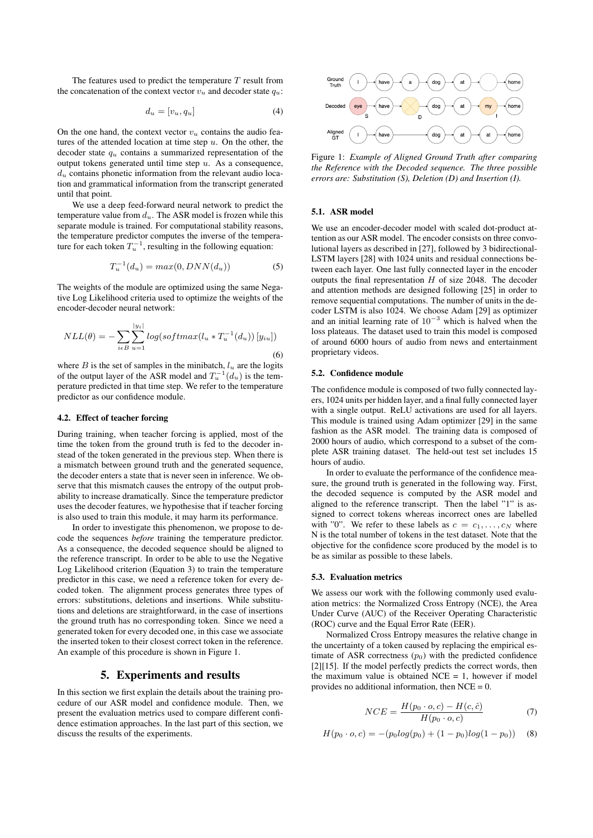The features used to predict the temperature  $T$  result from the concatenation of the context vector  $v_u$  and decoder state  $q_u$ :

$$
d_u = [v_u, q_u] \tag{4}
$$

On the one hand, the context vector  $v_{\alpha}$  contains the audio features of the attended location at time step  $u$ . On the other, the decoder state  $q_u$  contains a summarized representation of the output tokens generated until time step  $u$ . As a consequence,  $d_u$  contains phonetic information from the relevant audio location and grammatical information from the transcript generated until that point.

We use a deep feed-forward neural network to predict the temperature value from  $d_u$ . The ASR model is frozen while this separate module is trained. For computational stability reasons, the temperature predictor computes the inverse of the temperature for each token  $T_u^{-1}$ , resulting in the following equation:

$$
T_u^{-1}(d_u) = max(0, DNN(d_u))
$$
\n(5)

The weights of the module are optimized using the same Negative Log Likelihood criteria used to optimize the weights of the encoder-decoder neural network:

$$
NLL(\theta) = -\sum_{i \in B} \sum_{u=1}^{|y_i|} log(softmax(l_u * T_u^{-1}(d_u)) [y_{iu}])
$$
\n(6)

where B is the set of samples in the minibatch,  $l_u$  are the logits of the output layer of the ASR model and  $T_u^{-1}(d_u)$  is the temperature predicted in that time step. We refer to the temperature predictor as our confidence module.

#### 4.2. Effect of teacher forcing

During training, when teacher forcing is applied, most of the time the token from the ground truth is fed to the decoder instead of the token generated in the previous step. When there is a mismatch between ground truth and the generated sequence, the decoder enters a state that is never seen in inference. We observe that this mismatch causes the entropy of the output probability to increase dramatically. Since the temperature predictor uses the decoder features, we hypothesise that if teacher forcing is also used to train this module, it may harm its performance.

In order to investigate this phenomenon, we propose to decode the sequences *before* training the temperature predictor. As a consequence, the decoded sequence should be aligned to the reference transcript. In order to be able to use the Negative Log Likelihood criterion (Equation 3) to train the temperature predictor in this case, we need a reference token for every decoded token. The alignment process generates three types of errors: substitutions, deletions and insertions. While substitutions and deletions are straightforward, in the case of insertions the ground truth has no corresponding token. Since we need a generated token for every decoded one, in this case we associate the inserted token to their closest correct token in the reference. An example of this procedure is shown in Figure 1.

## 5. Experiments and results

In this section we first explain the details about the training procedure of our ASR model and confidence module. Then, we present the evaluation metrics used to compare different confidence estimation approaches. In the last part of this section, we discuss the results of the experiments.



Figure 1: *Example of Aligned Ground Truth after comparing the Reference with the Decoded sequence. The three possible errors are: Substitution (S), Deletion (D) and Insertion (I).*

## 5.1. ASR model

We use an encoder-decoder model with scaled dot-product attention as our ASR model. The encoder consists on three convolutional layers as described in [27], followed by 3 bidirectional-LSTM layers [28] with 1024 units and residual connections between each layer. One last fully connected layer in the encoder outputs the final representation  $H$  of size 2048. The decoder and attention methods are designed following [25] in order to remove sequential computations. The number of units in the decoder LSTM is also 1024. We choose Adam [29] as optimizer and an initial learning rate of  $10^{-3}$  which is halved when the loss plateaus. The dataset used to train this model is composed of around 6000 hours of audio from news and entertainment proprietary videos.

#### 5.2. Confidence module

The confidence module is composed of two fully connected layers, 1024 units per hidden layer, and a final fully connected layer with a single output. ReLU activations are used for all layers. This module is trained using Adam optimizer [29] in the same fashion as the ASR model. The training data is composed of 2000 hours of audio, which correspond to a subset of the complete ASR training dataset. The held-out test set includes 15 hours of audio.

In order to evaluate the performance of the confidence measure, the ground truth is generated in the following way. First, the decoded sequence is computed by the ASR model and aligned to the reference transcript. Then the label "1" is assigned to correct tokens whereas incorrect ones are labelled with "0". We refer to these labels as  $c = c_1, \ldots, c_N$  where N is the total number of tokens in the test dataset. Note that the objective for the confidence score produced by the model is to be as similar as possible to these labels.

#### 5.3. Evaluation metrics

We assess our work with the following commonly used evaluation metrics: the Normalized Cross Entropy (NCE), the Area Under Curve (AUC) of the Receiver Operating Characteristic (ROC) curve and the Equal Error Rate (EER).

Normalized Cross Entropy measures the relative change in the uncertainty of a token caused by replacing the empirical estimate of ASR correctness  $(p_0)$  with the predicted confidence [2][15]. If the model perfectly predicts the correct words, then the maximum value is obtained  $NCE = 1$ , however if model provides no additional information, then  $NCE = 0$ .

$$
NCE = \frac{H(p_0 \cdot o, c) - H(c, \hat{c})}{H(p_0 \cdot o, c)}
$$
(7)

$$
H(p_0 \cdot o, c) = -(p_0 \log(p_0) + (1 - p_0) \log(1 - p_0)) \tag{8}
$$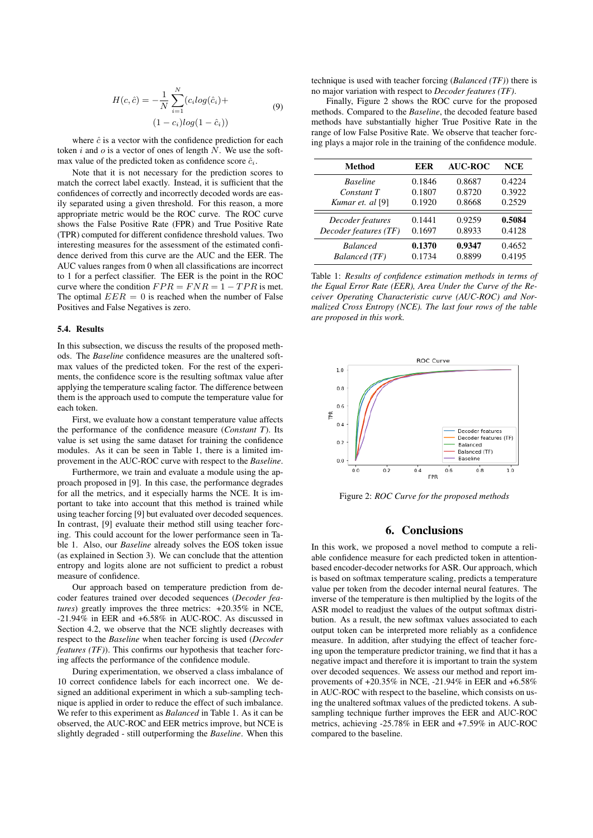$$
H(c, \hat{c}) = -\frac{1}{N} \sum_{i=1}^{N} (c_i \log(\hat{c}_i) +
$$
  
(1 - c<sub>i</sub>)log(1 - \hat{c}<sub>i</sub>)) (9)

where  $\hat{c}$  is a vector with the confidence prediction for each token i and  $o$  is a vector of ones of length N. We use the softmax value of the predicted token as confidence score  $\hat{c}_i$ .

Note that it is not necessary for the prediction scores to match the correct label exactly. Instead, it is sufficient that the confidences of correctly and incorrectly decoded words are easily separated using a given threshold. For this reason, a more appropriate metric would be the ROC curve. The ROC curve shows the False Positive Rate (FPR) and True Positive Rate (TPR) computed for different confidence threshold values. Two interesting measures for the assessment of the estimated confidence derived from this curve are the AUC and the EER. The AUC values ranges from 0 when all classifications are incorrect to 1 for a perfect classifier. The EER is the point in the ROC curve where the condition  $FPR = FNR = 1 - TPR$  is met. The optimal  $EER = 0$  is reached when the number of False Positives and False Negatives is zero.

#### 5.4. Results

In this subsection, we discuss the results of the proposed methods. The *Baseline* confidence measures are the unaltered softmax values of the predicted token. For the rest of the experiments, the confidence score is the resulting softmax value after applying the temperature scaling factor. The difference between them is the approach used to compute the temperature value for each token.

First, we evaluate how a constant temperature value affects the performance of the confidence measure (*Constant T*). Its value is set using the same dataset for training the confidence modules. As it can be seen in Table 1, there is a limited improvement in the AUC-ROC curve with respect to the *Baseline*.

Furthermore, we train and evaluate a module using the approach proposed in [9]. In this case, the performance degrades for all the metrics, and it especially harms the NCE. It is important to take into account that this method is trained while using teacher forcing [9] but evaluated over decoded sequences. In contrast, [9] evaluate their method still using teacher forcing. This could account for the lower performance seen in Table 1. Also, our *Baseline* already solves the EOS token issue (as explained in Section 3). We can conclude that the attention entropy and logits alone are not sufficient to predict a robust measure of confidence.

Our approach based on temperature prediction from decoder features trained over decoded sequences (*Decoder features*) greatly improves the three metrics: +20.35% in NCE, -21.94% in EER and +6.58% in AUC-ROC. As discussed in Section 4.2, we observe that the NCE slightly decreases with respect to the *Baseline* when teacher forcing is used (*Decoder features (TF)*). This confirms our hypothesis that teacher forcing affects the performance of the confidence module.

During experimentation, we observed a class imbalance of 10 correct confidence labels for each incorrect one. We designed an additional experiment in which a sub-sampling technique is applied in order to reduce the effect of such imbalance. We refer to this experiment as *Balanced* in Table 1. As it can be observed, the AUC-ROC and EER metrics improve, but NCE is slightly degraded - still outperforming the *Baseline*. When this technique is used with teacher forcing (*Balanced (TF)*) there is no major variation with respect to *Decoder features (TF)*.

Finally, Figure 2 shows the ROC curve for the proposed methods. Compared to the *Baseline*, the decoded feature based methods have substantially higher True Positive Rate in the range of low False Positive Rate. We observe that teacher forcing plays a major role in the training of the confidence module.

| Method                | EER    | <b>AUC-ROC</b> | <b>NCE</b> |
|-----------------------|--------|----------------|------------|
| <b>Baseline</b>       | 0.1846 | 0.8687         | 0.4224     |
| Constant T            | 0.1807 | 0.8720         | 0.3922     |
| Kumar et. al [9]      | 0.1920 | 0.8668         | 0.2529     |
| Decoder features      | 0.1441 | 0.9259         | 0.5084     |
| Decoder features (TF) | 0.1697 | 0.8933         | 0.4128     |
| <b>Balanced</b>       | 0.1370 | 0.9347         | 0.4652     |
| Balanced (TF)         | 0.1734 | 0.8899         | 0.4195     |

Table 1: *Results of confidence estimation methods in terms of the Equal Error Rate (EER), Area Under the Curve of the Receiver Operating Characteristic curve (AUC-ROC) and Normalized Cross Entropy (NCE). The last four rows of the table are proposed in this work.*



Figure 2: *ROC Curve for the proposed methods*

## 6. Conclusions

In this work, we proposed a novel method to compute a reliable confidence measure for each predicted token in attentionbased encoder-decoder networks for ASR. Our approach, which is based on softmax temperature scaling, predicts a temperature value per token from the decoder internal neural features. The inverse of the temperature is then multiplied by the logits of the ASR model to readjust the values of the output softmax distribution. As a result, the new softmax values associated to each output token can be interpreted more reliably as a confidence measure. In addition, after studying the effect of teacher forcing upon the temperature predictor training, we find that it has a negative impact and therefore it is important to train the system over decoded sequences. We assess our method and report improvements of +20.35% in NCE, -21.94% in EER and +6.58% in AUC-ROC with respect to the baseline, which consists on using the unaltered softmax values of the predicted tokens. A subsampling technique further improves the EER and AUC-ROC metrics, achieving -25.78% in EER and +7.59% in AUC-ROC compared to the baseline.